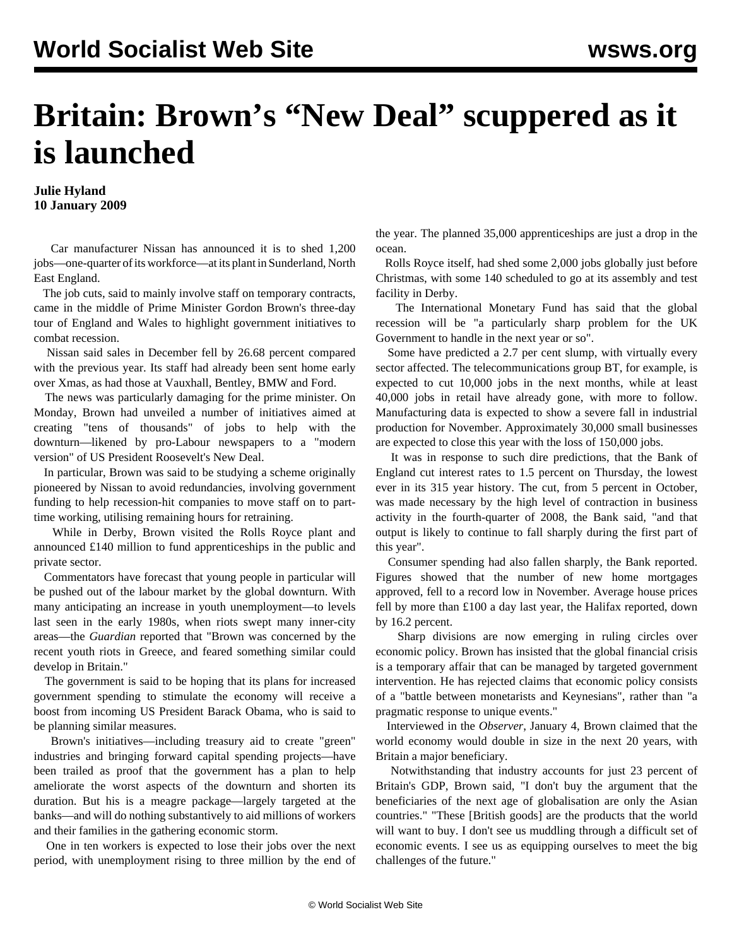## **Britain: Brown's "New Deal" scuppered as it is launched**

## **Julie Hyland 10 January 2009**

 Car manufacturer Nissan has announced it is to shed 1,200 jobs—one-quarter of its workforce—at its plant in Sunderland, North East England.

 The job cuts, said to mainly involve staff on temporary contracts, came in the middle of Prime Minister Gordon Brown's three-day tour of England and Wales to highlight government initiatives to combat recession.

 Nissan said sales in December fell by 26.68 percent compared with the previous year. Its staff had already been sent home early over Xmas, as had those at Vauxhall, Bentley, BMW and Ford.

 The news was particularly damaging for the prime minister. On Monday, Brown had unveiled a number of initiatives aimed at creating "tens of thousands" of jobs to help with the downturn—likened by pro-Labour newspapers to a "modern version" of US President Roosevelt's New Deal.

 In particular, Brown was said to be studying a scheme originally pioneered by Nissan to avoid redundancies, involving government funding to help recession-hit companies to move staff on to parttime working, utilising remaining hours for retraining.

 While in Derby, Brown visited the Rolls Royce plant and announced £140 million to fund apprenticeships in the public and private sector.

 Commentators have forecast that young people in particular will be pushed out of the labour market by the global downturn. With many anticipating an increase in youth unemployment—to levels last seen in the early 1980s, when riots swept many inner-city areas—the *Guardian* reported that "Brown was concerned by the recent youth riots in Greece, and feared something similar could develop in Britain."

 The government is said to be hoping that its plans for increased government spending to stimulate the economy will receive a boost from incoming US President Barack Obama, who is said to be planning similar measures.

 Brown's initiatives—including treasury aid to create "green" industries and bringing forward capital spending projects—have been trailed as proof that the government has a plan to help ameliorate the worst aspects of the downturn and shorten its duration. But his is a meagre package—largely targeted at the banks—and will do nothing substantively to aid millions of workers and their families in the gathering economic storm.

 One in ten workers is expected to lose their jobs over the next period, with unemployment rising to three million by the end of the year. The planned 35,000 apprenticeships are just a drop in the ocean.

 Rolls Royce itself, had shed some 2,000 jobs globally just before Christmas, with some 140 scheduled to go at its assembly and test facility in Derby.

 The International Monetary Fund has said that the global recession will be "a particularly sharp problem for the UK Government to handle in the next year or so".

 Some have predicted a 2.7 per cent slump, with virtually every sector affected. The telecommunications group BT, for example, is expected to cut 10,000 jobs in the next months, while at least 40,000 jobs in retail have already gone, with more to follow. Manufacturing data is expected to show a severe fall in industrial production for November. Approximately 30,000 small businesses are expected to close this year with the loss of 150,000 jobs.

 It was in response to such dire predictions, that the Bank of England cut interest rates to 1.5 percent on Thursday, the lowest ever in its 315 year history. The cut, from 5 percent in October, was made necessary by the high level of contraction in business activity in the fourth-quarter of 2008, the Bank said, "and that output is likely to continue to fall sharply during the first part of this year".

 Consumer spending had also fallen sharply, the Bank reported. Figures showed that the number of new home mortgages approved, fell to a record low in November. Average house prices fell by more than £100 a day last year, the Halifax reported, down by 16.2 percent.

 Sharp divisions are now emerging in ruling circles over economic policy. Brown has insisted that the global financial crisis is a temporary affair that can be managed by targeted government intervention. He has rejected claims that economic policy consists of a "battle between monetarists and Keynesians", rather than "a pragmatic response to unique events."

 Interviewed in the *Observer*, January 4, Brown claimed that the world economy would double in size in the next 20 years, with Britain a major beneficiary.

 Notwithstanding that industry accounts for just 23 percent of Britain's GDP, Brown said, "I don't buy the argument that the beneficiaries of the next age of globalisation are only the Asian countries." "These [British goods] are the products that the world will want to buy. I don't see us muddling through a difficult set of economic events. I see us as equipping ourselves to meet the big challenges of the future."